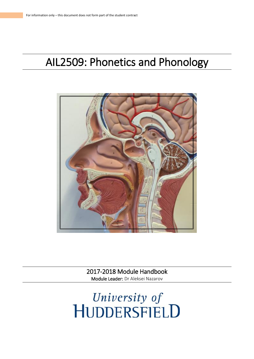# AIL2509: Phonetics and Phonology



2017-2018 Module Handbook Module Leader: Dr Aleksei Nazarov

University of<br>HUDDERSFIELD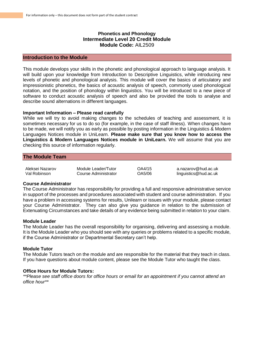# **Phonetics and Phonology Intermediate Level 20 Credit Module Module Code:** AIL2509

## **Introduction to the Module**

This module develops your skills in the phonetic and phonological approach to language analysis. It will build upon your knowledge from Introduction to Descriptive Linguistics, while introducing new levels of phonetic and phonological analysis. This module will cover the basics of articulatory and impressionistic phonetics, the basics of acoustic analysis of speech, commonly used phonological notation, and the position of phonology within linguistics. You will be introduced to a new piece of software to conduct acoustic analysis of speech and also be provided the tools to analyse and describe sound alternations in different languages.

## **Important Information – Please read carefully**

While we will try to avoid making changes to the schedules of teaching and assessment, it is sometimes necessary for us to do so (for example, in the case of staff illness). When changes have to be made, we will notify you as early as possible by posting information in the Linguistics & Modern Languages Notices module in UniLearn. **Please make sure that you know how to access the Linguistics & Modern Languages Notices module in UniLearn.** We will assume that you are checking this source of information regularly.

## **The Module Team**

| Aleksei Nazarov | Module Leader/Tutor  |
|-----------------|----------------------|
| Val Robinson    | Course Administrator |

OA4/15 a.nazarov@hud.ac.uk OA5/06 linguistics@hud.ac.uk

## **Course Administrator**

The Course Administrator has responsibility for providing a full and responsive administrative service in support of the processes and procedures associated with student and course administration. If you have a problem in accessing systems for results, Unilearn or issues with your module, please contact your Course Administrator. They can also give you guidance in relation to the submission of Extenuating Circumstances and take details of any evidence being submitted in relation to your claim.

## **Module Leader**

The Module Leader has the overall responsibility for organising, delivering and assessing a module. It is the Module Leader who you should see with any queries or problems related to a specific module, if the Course Administrator or Departmental Secretary can't help.

## **Module Tutor**

The Module Tutors teach on the module and are responsible for the material that they teach in class. If you have questions about module content, please see the Module Tutor who taught the class.

## **Office Hours for Module Tutors:**

*\*\*Please see staff office doors for office hours or email for an appointment if you cannot attend an office hour\*\**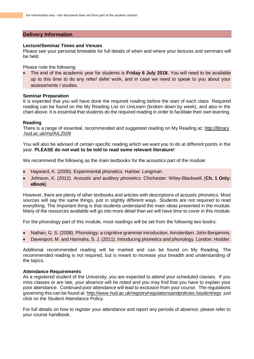# **Delivery Information**

## **Lecture/Seminar Times and Venues**

Please see your personal timetable for full details of when and where your lectures and seminars will be held.

Please note the following:

• The end of the academic year for students is **Friday 6 July 2018.** You will need to be available up to this time to do any refer/ defer work, and in case we need to speak to you about your assessments / studies.

## **Seminar Preparation**

It is expected that you will have done the required reading before the start of each class. Required reading can be found on the My Reading List on UniLearn (broken down by week), and also in the chart above. It is essential that students do the required reading in order to facilitate their own learning.

# **Reading**

There is a range of essential, recommended and suggested reading on My Reading at: http://library .hud.ac.uk/my/AIL2509

You will also be advised of certain specific reading which we want you to do at different points in the year. **PLEASE do not wait to be told to read some relevant literature!**

We recommend the following as the main textbooks for the acoustics part of the module:

- Hayward, K. (2000). Experimental phonetics. Harlow: Longman.
- Johnson, K. (2012). *Acoustic and auditory phonetics*. Chichester: Wiley-Blackwell. [**Ch. 1 Only: eBook**]

However, there are plenty of other textbooks and articles with descriptions of acoustic phonetics. Most sources will say the same things, just in slightly different ways. Students are not required to read everything. The important thing is that students understand the main ideas presented in the module. Many of the resources available will go into more detail than we will have time to cover in this module.

For the phonology part of this module, most readings will be set from the following two books:

- Nathan, G. S. (2008). Phonology: a cognitive grammar introduction. Amsterdam: John Benjamins.
- Davenport, M. and Hannahs, S. J. (2011). Introducing phonetics and phonology. London: Hodder.

Additional recommended reading will be marked and can be found on My Reading. The recommended reading is not required, but is meant to increase your breadth and understanding of the topics.

# **Attendance Requirements**

As a registered student of the University, you are expected to attend your scheduled classes. If you miss classes or are late, your absence will be noted and you may find that you have to explain your poor attendance. Continued poor attendance will lead to exclusion from your course. The regulations governing this can be found at: http://www.hud.ac.uk/registry/regulationsandpolicies /studentregs just click on the Student Attendance Policy.

For full details on how to register your attendance and report any periods of absence, please refer to your course handbook.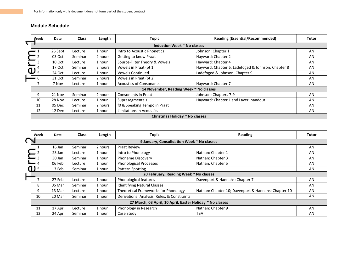# **Module Schedule**

|                                        | Week                        | Date    | <b>Class</b> | Length  | <b>Topic</b>                    | <b>Reading (Essential/Recommended)</b>             | <b>Tutor</b> |
|----------------------------------------|-----------------------------|---------|--------------|---------|---------------------------------|----------------------------------------------------|--------------|
|                                        | Induction Week ~ No classes |         |              |         |                                 |                                                    |              |
|                                        |                             | 26 Sept | Lecture      | 1 hour  | Intro to Acoustic Phonetics     | Johnson: Chapter 1                                 | AN           |
|                                        |                             | 03 Oct  | Seminar      | 2 hours | Getting to know Praat           | Hayward: Chapter 2                                 | AN           |
|                                        | 3                           | 10 Oct  | Lecture      | 1 hour  | Source-Filter Theory & Vowels   | Hayward: Chapter 4                                 | AN           |
|                                        | $\mathbf{\dot{\oplus}}^4$   | 17 Oct  | Seminar      | 2 hours | Vowels in Praat (pt 1)          | Hayward: Chapter 6; Ladefoged & Johnson: Chapter 8 | AN           |
|                                        | .5                          | 24 Oct  | Lecture      | 1 hour  | <b>Vowels Continued</b>         | Ladefoged & Johnson: Chapter 9                     | AN           |
|                                        | 6                           | 31 Oct  | Seminar      | 2 hours | Vowels in Praat (pt 2)          |                                                    | AN           |
|                                        |                             | 7 Nov   | Lecture      | 1 hour  | <b>Acoustics of Consonants</b>  | Hayward: Chapter 7                                 | AN           |
| 14 November, Reading Week ~ No classes |                             |         |              |         |                                 |                                                    |              |
|                                        | 9                           | 21 Nov  | Seminar      | 2 hours | Consonants in Praat             | Johnson: Chapters 7-9                              | AN           |
|                                        | 10                          | 28 Nov  | Lecture      | 1 hour  | Suprasegmentals                 | Hayward: Chapter 1 and Laver: handout              | AN           |
|                                        | 11                          | 05 Dec  | Seminar      | 2 hours | f0 & Speaking Tempo in Praat    |                                                    | AN           |
|                                        | 12                          | 12 Dec  | Lecture      | 1 hour  | <b>Limitations in Acoustics</b> |                                                    | AN           |
| Christmas Holiday $\sim$ No classes    |                             |         |              |         |                                 |                                                    |              |

| Week       | Date                                                      | <b>Class</b> | Length  | <b>Topic</b>                                | <b>Reading</b>                                      | Tutor |
|------------|-----------------------------------------------------------|--------------|---------|---------------------------------------------|-----------------------------------------------------|-------|
|            |                                                           |              |         | 9 January, Consolidation Week ~ No classes  |                                                     |       |
|            | 16 Jan                                                    | Seminar      | 2 hours | <b>Praat Review</b>                         |                                                     | AN    |
|            | 23 Jan                                                    | Lecture      | 1 hour  | Intro to Phonology                          | Nathan: Chapter 1                                   | AN    |
| $= 3$      | 30 Jan                                                    | Seminar      | 1 hour  | <b>Phoneme Discovery</b>                    | Nathan: Chapter 3                                   | AN    |
| $= 4$      | 06 Feb                                                    | Lecture      | 1 hour  | <b>Phonological Processes</b>               | Nathan: Chapter 5                                   | AN    |
| $\bf{J}$ 5 | 13 Feb                                                    | Seminar      | 1 hour  | <b>Pattern Spotting</b>                     |                                                     | AN    |
|            |                                                           |              |         | 20 February, Reading Week ~ No classes      |                                                     |       |
|            | 27 Feb                                                    | Lecture      | 1 hour  | Phonological features                       | Davenport & Hannahs: Chapter 7                      | AN    |
| 8          | 06 Mar                                                    | Seminar      | 1 hour  | <b>Identifying Natural Classes</b>          |                                                     | AN    |
| 9          | 13 Mar                                                    | Lecture      | 1 hour  | Theoretical Frameworks for Phonology        | Nathan: Chapter 10; Davenport & Hannahs: Chapter 10 | AN    |
| 10         | 20 Mar                                                    | Seminar      | 1 hour  | Derivational Analysis, Rules, & Constraints |                                                     | AN    |
|            | 27 March, 03 April, 10 April, Easter Holiday ~ No classes |              |         |                                             |                                                     |       |
| 11         | 17 Apr                                                    | Lecture      | 1 hour  | Phonology in Research                       | Nathan: Chapter 9                                   | AN    |
| 12         | 24 Apr                                                    | Seminar      | 1 hour  | Case Study                                  | <b>TBA</b>                                          | AN    |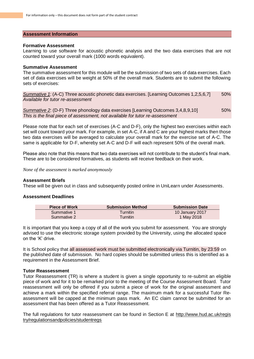## **Assessment Information**

#### **Formative Assessment**

Learning to use software for acoustic phonetic analysis and the two data exercises that are not counted toward your overall mark (1000 words equivalent).

#### **Summative Assessment**

The summative assessment for this module will be the submission of two sets of data exercises. Each set of data exercises will be weight at 50% of the overall mark. Students are to submit the following sets of exercises:

*Summative 1*: (A-C) Three acoustic phonetic data exercises. [Learning Outcomes 1,2,5,6,7] 50% *Available for tutor re-assessment*

**Summative 2: (D-F) Three phonology data exercises [Learning Outcomes 3,4,8,9,10]** 50% *This is the final piece of assessment, not available for tutor re-assessment*

Please note that for each set of exercises (A-C and D-F), only the highest two exercises within each set will count toward your mark. For example, in set A-C, if A and C are your highest marks then those two data exercises will be averaged to calculate your overall mark for the exercise set of A-C. The same is applicable for D-F, whereby set A-C and D-F will each represent 50% of the overall mark.

Please also note that this means that two data exercises will not contribute to the student's final mark. These are to be considered formatives, as students will receive feedback on their work.

*None of the assessment is marked anonymously*

## **Assessment Briefs**

These will be given out in class and subsequently posted online in UniLearn under Assessments.

## **Assessment Deadlines**

| <b>Piece of Work</b> | <b>Submission Method</b> | <b>Submission Date</b> |
|----------------------|--------------------------|------------------------|
| Summative 1          | <b>Turnitin</b>          | 10 January 2017        |
| Summative 2          | <b>Turnitin</b>          | 1 May 2018             |

It is important that you keep a copy of all of the work you submit for assessment. You are strongly advised to use the electronic storage system provided by the University, using the allocated space on the 'K' drive.

It is School policy that all assessed work must be submitted electronically via Turnitin, by 23:59 on the published date of submission. No hard copies should be submitted unless this is identified as a requirement in the Assessment Brief.

## **Tutor Reassessment**

Tutor Reassessment (TR) is where a student is given a single opportunity to re-submit an eligible piece of work and for it to be remarked prior to the meeting of the Course Assessment Board. Tutor reassessment will only be offered if you submit a piece of work for the original assessment and achieve a mark within the specified referral range. The maximum mark for a successful Tutor Reassessment will be capped at the minimum pass mark. An EC claim cannot be submitted for an assessment that has been offered as a Tutor Reassessment.

The full regulations for tutor reassessment can be found in Section E at http://www.hud.ac.uk/regis try/regulationsandpolicies/studentregs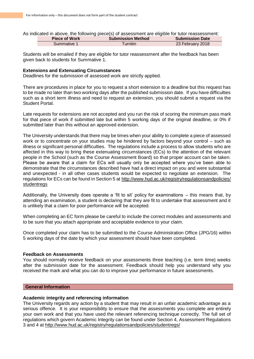As indicated in above, the following piece(s) of assessment are eligible for tutor reassessment:

|             | <b>Submission Method</b> | <b>Submission Date</b> |
|-------------|--------------------------|------------------------|
| Summative 1 | ™urnitin                 | 23 February 2018       |

Students will be emailed if they are eligible for tutor reassessment after the feedback has been given back to students for Summative 1.

## **Extensions and Extenuating Circumstances**

Deadlines for the submission of assessed work are strictly applied.

There are procedures in place for you to request a short extension to a deadline but this request has to be made no later than two working days after the published submission date. If you have difficulties such as a short term illness and need to request an extension, you should submit a request via the Student Portal.

Late requests for extensions are not accepted and you run the risk of scoring the minimum pass mark for that piece of work if submitted late but within 5 working days of the original deadline, or 0% if submitted later than this without an approved extension.

The University understands that there may be times when your ability to complete a piece of assessed work or to concentrate on your studies may be hindered by factors beyond your control – such as illness or significant personal difficulties. The regulations include a process to allow students who are affected in this way to bring these extenuating circumstances (ECs) to the attention of the relevant people in the School (such as the Course Assessment Board) so that proper account can be taken. Please be aware that a claim for ECs will usually only be accepted where you've been able to demonstrate that the circumstances described have had a direct impact on you and were substantial and unexpected - in all other cases students would be expected to negotiate an extension. The regulations for ECs can be found in Section 5 at http://www.hud.ac.uk/registry/regulationsandpolicies/ studentregs

Additionally, the University does operate a 'fit to sit' policy for examinations – this means that, by attending an examination, a student is declaring that they are fit to undertake that assessment and it is unlikely that a claim for poor performance will be accepted.

When completing an EC form please be careful to include the correct modules and assessments and to be sure that you attach appropriate and acceptable evidence to your claim.

Once completed your claim has to be submitted to the Course Administration Office (JPG/16) within 5 working days of the date by which your assessment should have been completed.

## **Feedback on Assessments**

You should normally receive feedback on your assessments three teaching (i.e. term time) weeks after the submission date for the assessment. Feedback should help you understand why you received the mark and what you can do to improve your performance in future assessments.

# **General Information**

## **Academic integrity and referencing information**

The University regards any action by a student that may result in an unfair academic advantage as a serious offence. It is your responsibility to ensure that the assessments you complete are entirely your own work and that you have used the relevant referencing technique correctly. The full set of regulations which govern Academic Integrity can be found under Section 4, Assessment Regulations 3 and 4 at http://www.hud.ac.uk/registry/regulationsandpolicies/studentregs/